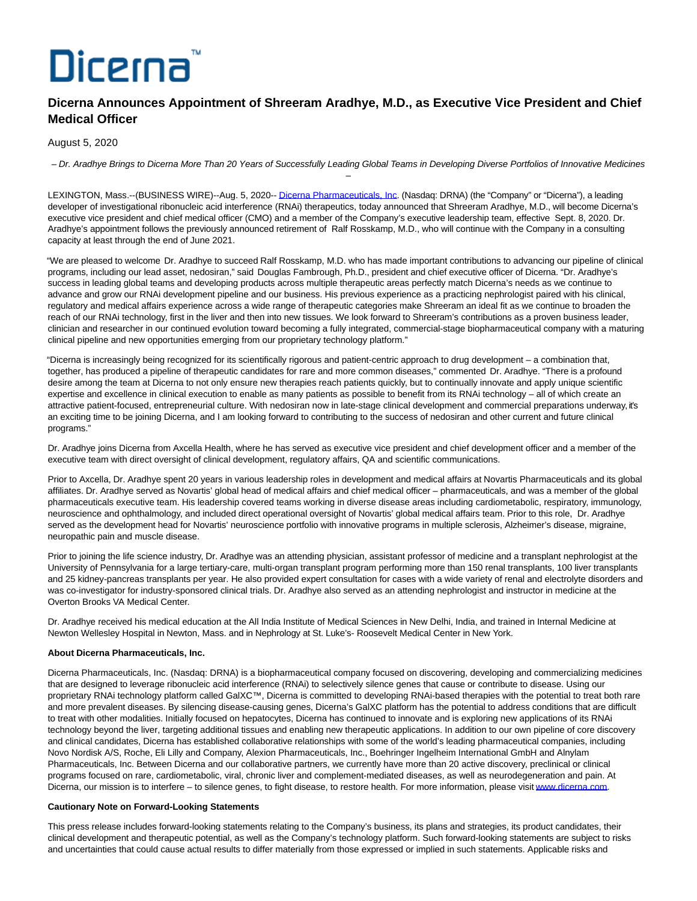# Dicerna

# **Dicerna Announces Appointment of Shreeram Aradhye, M.D., as Executive Vice President and Chief Medical Officer**

## August 5, 2020

– Dr. Aradhye Brings to Dicerna More Than 20 Years of Successfully Leading Global Teams in Developing Diverse Portfolios of Innovative Medicines –

LEXINGTON, Mass.--(BUSINESS WIRE)--Aug. 5, 2020-[- Dicerna Pharmaceuticals, Inc.](https://cts.businesswire.com/ct/CT?id=smartlink&url=https%3A%2F%2Fdicerna.com%2F&esheet=52261738&newsitemid=20200805005932&lan=en-US&anchor=Dicerna+Pharmaceuticals%2C+Inc&index=1&md5=8029b0462e848ba5c90e760722cfafb9) (Nasdaq: DRNA) (the "Company" or "Dicerna"), a leading developer of investigational ribonucleic acid interference (RNAi) therapeutics, today announced that Shreeram Aradhye, M.D., will become Dicerna's executive vice president and chief medical officer (CMO) and a member of the Company's executive leadership team, effective Sept. 8, 2020. Dr. Aradhye's appointment follows the previously announced retirement of Ralf Rosskamp, M.D., who will continue with the Company in a consulting capacity at least through the end of June 2021.

"We are pleased to welcome Dr. Aradhye to succeed Ralf Rosskamp, M.D. who has made important contributions to advancing our pipeline of clinical programs, including our lead asset, nedosiran," said Douglas Fambrough, Ph.D., president and chief executive officer of Dicerna. "Dr. Aradhye's success in leading global teams and developing products across multiple therapeutic areas perfectly match Dicerna's needs as we continue to advance and grow our RNAi development pipeline and our business. His previous experience as a practicing nephrologist paired with his clinical, regulatory and medical affairs experience across a wide range of therapeutic categories make Shreeram an ideal fit as we continue to broaden the reach of our RNAi technology, first in the liver and then into new tissues. We look forward to Shreeram's contributions as a proven business leader, clinician and researcher in our continued evolution toward becoming a fully integrated, commercial-stage biopharmaceutical company with a maturing clinical pipeline and new opportunities emerging from our proprietary technology platform."

"Dicerna is increasingly being recognized for its scientifically rigorous and patient-centric approach to drug development – a combination that, together, has produced a pipeline of therapeutic candidates for rare and more common diseases," commented Dr. Aradhye. "There is a profound desire among the team at Dicerna to not only ensure new therapies reach patients quickly, but to continually innovate and apply unique scientific expertise and excellence in clinical execution to enable as many patients as possible to benefit from its RNAi technology – all of which create an attractive patient-focused, entrepreneurial culture. With nedosiran now in late-stage clinical development and commercial preparations underway, it's an exciting time to be joining Dicerna, and I am looking forward to contributing to the success of nedosiran and other current and future clinical programs."

Dr. Aradhye joins Dicerna from Axcella Health, where he has served as executive vice president and chief development officer and a member of the executive team with direct oversight of clinical development, regulatory affairs, QA and scientific communications.

Prior to Axcella, Dr. Aradhye spent 20 years in various leadership roles in development and medical affairs at Novartis Pharmaceuticals and its global affiliates. Dr. Aradhye served as Novartis' global head of medical affairs and chief medical officer – pharmaceuticals, and was a member of the global pharmaceuticals executive team. His leadership covered teams working in diverse disease areas including cardiometabolic, respiratory, immunology, neuroscience and ophthalmology, and included direct operational oversight of Novartis' global medical affairs team. Prior to this role, Dr. Aradhye served as the development head for Novartis' neuroscience portfolio with innovative programs in multiple sclerosis, Alzheimer's disease, migraine, neuropathic pain and muscle disease.

Prior to joining the life science industry, Dr. Aradhye was an attending physician, assistant professor of medicine and a transplant nephrologist at the University of Pennsylvania for a large tertiary-care, multi-organ transplant program performing more than 150 renal transplants, 100 liver transplants and 25 kidney-pancreas transplants per year. He also provided expert consultation for cases with a wide variety of renal and electrolyte disorders and was co-investigator for industry-sponsored clinical trials. Dr. Aradhye also served as an attending nephrologist and instructor in medicine at the Overton Brooks VA Medical Center.

Dr. Aradhye received his medical education at the All India Institute of Medical Sciences in New Delhi, India, and trained in Internal Medicine at Newton Wellesley Hospital in Newton, Mass. and in Nephrology at St. Luke's- Roosevelt Medical Center in New York.

### **About Dicerna Pharmaceuticals, Inc.**

Dicerna Pharmaceuticals, Inc. (Nasdaq: DRNA) is a biopharmaceutical company focused on discovering, developing and commercializing medicines that are designed to leverage ribonucleic acid interference (RNAi) to selectively silence genes that cause or contribute to disease. Using our proprietary RNAi technology platform called GalXC™, Dicerna is committed to developing RNAi-based therapies with the potential to treat both rare and more prevalent diseases. By silencing disease-causing genes, Dicerna's GalXC platform has the potential to address conditions that are difficult to treat with other modalities. Initially focused on hepatocytes, Dicerna has continued to innovate and is exploring new applications of its RNAi technology beyond the liver, targeting additional tissues and enabling new therapeutic applications. In addition to our own pipeline of core discovery and clinical candidates, Dicerna has established collaborative relationships with some of the world's leading pharmaceutical companies, including Novo Nordisk A/S, Roche, Eli Lilly and Company, Alexion Pharmaceuticals, Inc., Boehringer Ingelheim International GmbH and Alnylam Pharmaceuticals, Inc. Between Dicerna and our collaborative partners, we currently have more than 20 active discovery, preclinical or clinical programs focused on rare, cardiometabolic, viral, chronic liver and complement-mediated diseases, as well as neurodegeneration and pain. At Dicerna, our mission is to interfere – to silence genes, to fight disease, to restore health. For more information, please visi[t www.dicerna.com.](https://cts.businesswire.com/ct/CT?id=smartlink&url=http%3A%2F%2Fwww.dicerna.com&esheet=52261738&newsitemid=20200805005932&lan=en-US&anchor=www.dicerna.com&index=2&md5=7d28f3374699aa938d26ec42f094dc5d)

### **Cautionary Note on Forward-Looking Statements**

This press release includes forward-looking statements relating to the Company's business, its plans and strategies, its product candidates, their clinical development and therapeutic potential, as well as the Company's technology platform. Such forward-looking statements are subject to risks and uncertainties that could cause actual results to differ materially from those expressed or implied in such statements. Applicable risks and